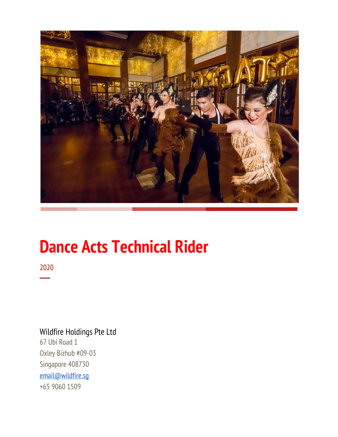

# **Dance Acts Technical Rider**

2020 ─

## Wildfire Holdings Pte Ltd 67 Ubi Road 1 Oxley Bizhub #09-03 Singapore 408730 [email@wildfire.sg](mailto:email@wildfire.sg) +65 9060 1509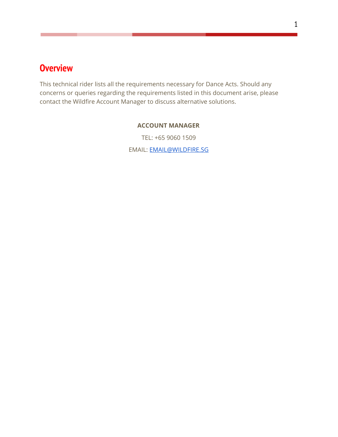# <span id="page-1-0"></span>**Overview**

This technical rider lists all the requirements necessary for Dance Acts. Should any concerns or queries regarding the requirements listed in this document arise, please contact the Wildfire Account Manager to discuss alternative solutions.

#### **ACCOUNT MANAGER**

TEL: +65 9060 1509 EMAIL: [EMAIL@WILDFIRE.SG](mailto:EMAIL@WILDFIRE.SG)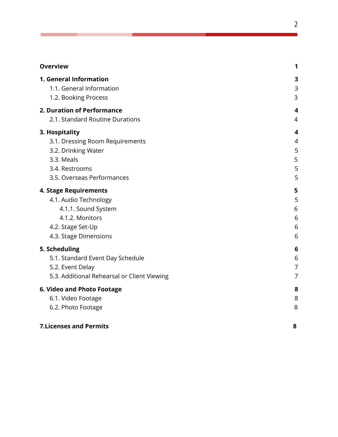| <b>Overview</b>                             | 1                       |
|---------------------------------------------|-------------------------|
| 1. General Information                      | 3                       |
| 1.1. General Information                    | 3                       |
| 1.2. Booking Process                        | 3                       |
| 2. Duration of Performance                  | $\overline{\mathbf{4}}$ |
| 2.1. Standard Routine Durations             | 4                       |
| 3. Hospitality                              | $\overline{\mathbf{4}}$ |
| 3.1. Dressing Room Requirements             | 4                       |
| 3.2. Drinking Water                         | 5                       |
| 3.3. Meals                                  | 5                       |
| 3.4. Restrooms                              | 5                       |
| 3.5. Overseas Performances                  | 5                       |
| 4. Stage Requirements                       | 5                       |
| 4.1. Audio Technology                       | 5                       |
| 4.1.1. Sound System                         | 6                       |
| 4.1.2. Monitors                             | 6                       |
| 4.2. Stage Set-Up                           | 6                       |
| 4.3. Stage Dimensions                       | 6                       |
| 5. Scheduling                               | 6                       |
| 5.1. Standard Event Day Schedule            | 6                       |
| 5.2. Event Delay                            | 7                       |
| 5.3. Additional Rehearsal or Client Viewing | $\overline{7}$          |
| 6. Video and Photo Footage                  | 8                       |
| 6.1. Video Footage                          | 8                       |
| 6.2. Photo Footage                          | 8                       |
| <b>7.Licenses and Permits</b>               | 8                       |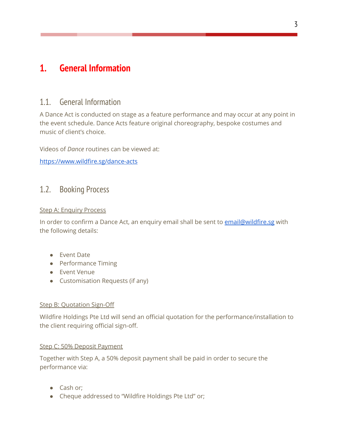# <span id="page-3-1"></span><span id="page-3-0"></span>**1. General Information**

## 1.1. General Information

A Dance Act is conducted on stage as a feature performance and may occur at any point in the event schedule. Dance Acts feature original choreography, bespoke costumes and music of client's choice.

Videos of *Dance* routines can be viewed at:

<https://www.wildfire.sg/dance-acts>

## <span id="page-3-2"></span>1.2. Booking Process

#### Step A: Enquiry Process

In order to confirm a Dance Act, an enquiry email shall be sent to [email@wildfire.sg](mailto:email@wildfire.sg) with the following details:

- Event Date
- Performance Timing
- Event Venue
- Customisation Requests (if any)

#### Step B: Quotation Sign-Off

Wildfire Holdings Pte Ltd will send an official quotation for the performance/installation to the client requiring official sign-off.

#### Step C: 50% Deposit Payment

Together with Step A, a 50% deposit payment shall be paid in order to secure the performance via:

- Cash or;
- Cheque addressed to "Wildfire Holdings Pte Ltd" or;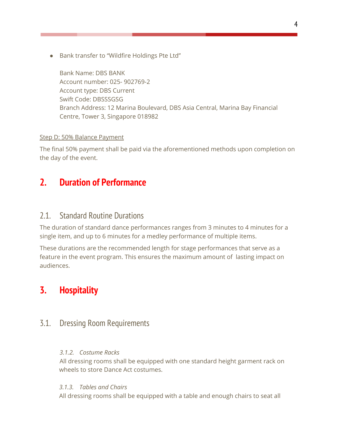● Bank transfer to "Wildfire Holdings Pte Ltd"

Bank Name: DBS BANK Account number: 025- 902769-2 Account type: DBS Current Swift Code: DBSSSGSG Branch Address: 12 Marina Boulevard, DBS Asia Central, Marina Bay Financial Centre, Tower 3, Singapore 018982

#### Step D: 50% Balance Payment

The final 50% payment shall be paid via the aforementioned methods upon completion on the day of the event.

## <span id="page-4-0"></span>**2. Duration of Performance**

#### <span id="page-4-1"></span>2.1. Standard Routine Durations

The duration of standard dance performances ranges from 3 minutes to 4 minutes for a single item, and up to 6 minutes for a medley performance of multiple items.

These durations are the recommended length for stage performances that serve as a feature in the event program. This ensures the maximum amount of lasting impact on audiences.

## <span id="page-4-2"></span>**3. Hospitality**

### <span id="page-4-3"></span>3.1. Dressing Room Requirements

#### *3.1.2. Costume Racks*

All dressing rooms shall be equipped with one standard height garment rack on wheels to store Dance Act costumes.

#### *3.1.3. Tables and Chairs*

All dressing rooms shall be equipped with a table and enough chairs to seat all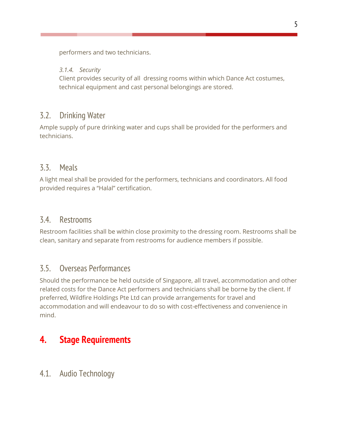performers and two technicians.

#### *3.1.4. Security*

Client provides security of all dressing rooms within which Dance Act costumes, technical equipment and cast personal belongings are stored.

## <span id="page-5-0"></span>3.2. Drinking Water

Ample supply of pure drinking water and cups shall be provided for the performers and technicians.

### <span id="page-5-1"></span>3.3. Meals

A light meal shall be provided for the performers, technicians and coordinators. All food provided requires a "Halal" certification.

#### <span id="page-5-2"></span>3.4. Restrooms

Restroom facilities shall be within close proximity to the dressing room. Restrooms shall be clean, sanitary and separate from restrooms for audience members if possible.

## <span id="page-5-3"></span>3.5. Overseas Performances

Should the performance be held outside of Singapore, all travel, accommodation and other related costs for the Dance Act performers and technicians shall be borne by the client. If preferred, Wildfire Holdings Pte Ltd can provide arrangements for travel and accommodation and will endeavour to do so with cost-effectiveness and convenience in mind.

# <span id="page-5-5"></span><span id="page-5-4"></span>**4. Stage Requirements**

4.1. Audio Technology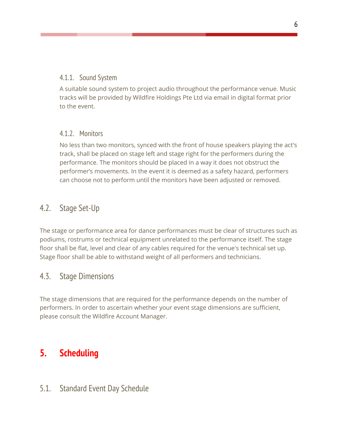#### <span id="page-6-0"></span>4.1.1. Sound System

A suitable sound system to project audio throughout the performance venue. Music tracks will be provided by Wildfire Holdings Pte Ltd via email in digital format prior to the event.

#### <span id="page-6-1"></span>4.1.2. Monitors

No less than two monitors, synced with the front of house speakers playing the act's track, shall be placed on stage left and stage right for the performers during the performance. The monitors should be placed in a way it does not obstruct the performer's movements. In the event it is deemed as a safety hazard, performers can choose not to perform until the monitors have been adjusted or removed.

## <span id="page-6-2"></span>4.2. Stage Set-Up

The stage or performance area for dance performances must be clear of structures such as podiums, rostrums or technical equipment unrelated to the performance itself. The stage floor shall be flat, level and clear of any cables required for the venue's technical set up. Stage floor shall be able to withstand weight of all performers and technicians.

## <span id="page-6-3"></span>4.3. Stage Dimensions

The stage dimensions that are required for the performance depends on the number of performers. In order to ascertain whether your event stage dimensions are sufficient, please consult the Wildfire Account Manager.

# <span id="page-6-4"></span>**5. Scheduling**

## <span id="page-6-5"></span>5.1. Standard Event Day Schedule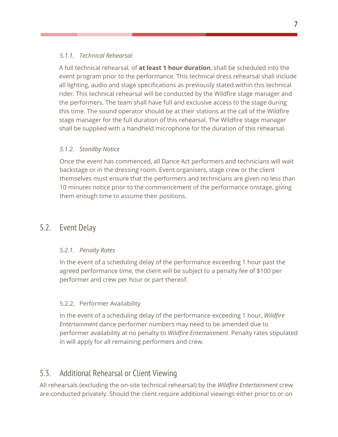#### *5.1.1. Technical Rehearsal*

A full technical rehearsal, of **at least 1 hour duration**, shall be scheduled into the event program prior to the performance. This technical dress rehearsal shall include all lighting, audio and stage specifications as previously stated within this technical rider. This technical rehearsal will be conducted by the Wildfire stage manager and the performers. The team shall have full and exclusive access to the stage during this time. The sound operator should be at their stations at the call of the Wildfire stage manager for the full duration of this rehearsal. The Wildfire stage manager shall be supplied with a handheld microphone for the duration of this rehearsal.

#### *5.1.2. Standby Notice*

Once the event has commenced, all Dance Act performers and technicians will wait backstage or in the dressing room. Event organisers, stage crew or the client themselves must ensure that the performers and technicians are given no less than 10 minutes notice prior to the commencement of the performance onstage, giving them enough time to assume their positions.

## <span id="page-7-0"></span>5.2. Event Delay

#### *5.2.1. Penalty Rates*

In the event of a scheduling delay of the performance exceeding 1 hour past the agreed performance time, the client will be subject to a penalty fee of \$100 per performer and crew per hour or part thereof.

#### 5.2.2. Performer Availability

In the event of a scheduling delay of the performance exceeding 1 hour, *Wildfire Entertainment* dance performer numbers may need to be amended due to performer availability at no penalty to *Wildfire Entertainment*. Penalty rates stipulated in will apply for all remaining performers and crew.

## <span id="page-7-1"></span>5.3. Additional Rehearsal or Client Viewing

All rehearsals (excluding the on-site technical rehearsal) by the *Wildfire Entertainment* crew are conducted privately. Should the client require additional viewings either prior to or on